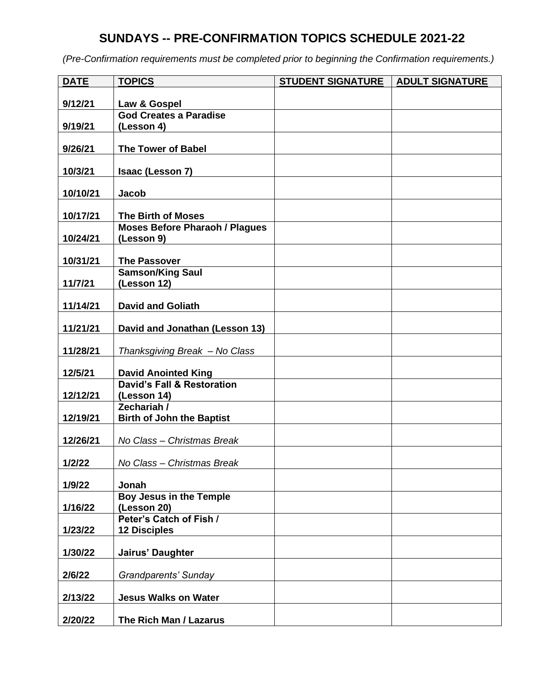## **SUNDAYS -- PRE-CONFIRMATION TOPICS SCHEDULE 2021-22**

| <b>DATE</b> | <b>TOPICS</b>                                        | <b>STUDENT SIGNATURE</b> | <b>ADULT SIGNATURE</b> |
|-------------|------------------------------------------------------|--------------------------|------------------------|
| 9/12/21     | Law & Gospel                                         |                          |                        |
|             | <b>God Creates a Paradise</b>                        |                          |                        |
| 9/19/21     | (Lesson 4)                                           |                          |                        |
| 9/26/21     | <b>The Tower of Babel</b>                            |                          |                        |
| 10/3/21     | Isaac (Lesson 7)                                     |                          |                        |
| 10/10/21    | Jacob                                                |                          |                        |
| 10/17/21    | <b>The Birth of Moses</b>                            |                          |                        |
|             | <b>Moses Before Pharaoh / Plagues</b>                |                          |                        |
| 10/24/21    | (Lesson 9)                                           |                          |                        |
| 10/31/21    | <b>The Passover</b>                                  |                          |                        |
|             | <b>Samson/King Saul</b>                              |                          |                        |
| 11/7/21     | (Lesson 12)                                          |                          |                        |
|             |                                                      |                          |                        |
| 11/14/21    | <b>David and Goliath</b>                             |                          |                        |
| 11/21/21    | David and Jonathan (Lesson 13)                       |                          |                        |
| 11/28/21    | Thanksgiving Break - No Class                        |                          |                        |
| 12/5/21     | <b>David Anointed King</b>                           |                          |                        |
| 12/12/21    | <b>David's Fall &amp; Restoration</b><br>(Lesson 14) |                          |                        |
| 12/19/21    | Zechariah /<br><b>Birth of John the Baptist</b>      |                          |                        |
| 12/26/21    | No Class - Christmas Break                           |                          |                        |
| 1/2/22      | No Class - Christmas Break                           |                          |                        |
| 1/9/22      | Jonah                                                |                          |                        |
| 1/16/22     | <b>Boy Jesus in the Temple</b><br>(Lesson 20)        |                          |                        |
| 1/23/22     | Peter's Catch of Fish /<br><b>12 Disciples</b>       |                          |                        |
| 1/30/22     | Jairus' Daughter                                     |                          |                        |
| 2/6/22      | Grandparents' Sunday                                 |                          |                        |
| 2/13/22     | <b>Jesus Walks on Water</b>                          |                          |                        |
| 2/20/22     | The Rich Man / Lazarus                               |                          |                        |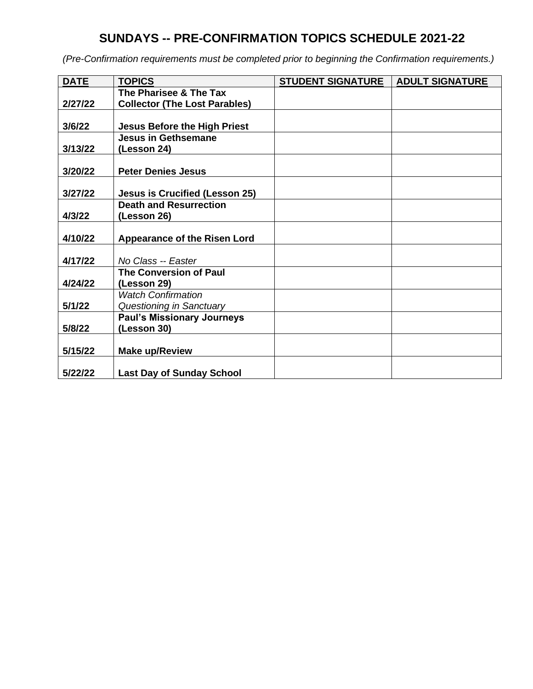## **SUNDAYS -- PRE-CONFIRMATION TOPICS SCHEDULE 2021-22**

| <b>DATE</b> | <b>TOPICS</b>                         | <b>STUDENT SIGNATURE</b> | <b>ADULT SIGNATURE</b> |
|-------------|---------------------------------------|--------------------------|------------------------|
|             | The Pharisee & The Tax                |                          |                        |
| 2/27/22     | <b>Collector (The Lost Parables)</b>  |                          |                        |
|             |                                       |                          |                        |
| 3/6/22      | <b>Jesus Before the High Priest</b>   |                          |                        |
|             | <b>Jesus in Gethsemane</b>            |                          |                        |
| 3/13/22     | (Lesson 24)                           |                          |                        |
|             |                                       |                          |                        |
| 3/20/22     | <b>Peter Denies Jesus</b>             |                          |                        |
|             |                                       |                          |                        |
| 3/27/22     | <b>Jesus is Crucified (Lesson 25)</b> |                          |                        |
|             | <b>Death and Resurrection</b>         |                          |                        |
| 4/3/22      | (Lesson 26)                           |                          |                        |
|             |                                       |                          |                        |
| 4/10/22     | Appearance of the Risen Lord          |                          |                        |
|             |                                       |                          |                        |
| 4/17/22     | No Class -- Easter                    |                          |                        |
|             | <b>The Conversion of Paul</b>         |                          |                        |
| 4/24/22     | (Lesson 29)                           |                          |                        |
|             | <b>Watch Confirmation</b>             |                          |                        |
| 5/1/22      | Questioning in Sanctuary              |                          |                        |
|             | <b>Paul's Missionary Journeys</b>     |                          |                        |
| 5/8/22      | (Lesson 30)                           |                          |                        |
|             |                                       |                          |                        |
| 5/15/22     | <b>Make up/Review</b>                 |                          |                        |
|             |                                       |                          |                        |
| 5/22/22     | <b>Last Day of Sunday School</b>      |                          |                        |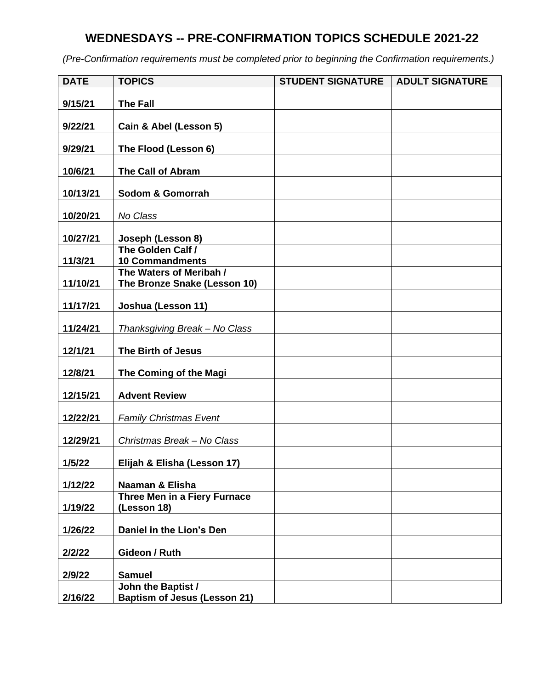## **WEDNESDAYS -- PRE-CONFIRMATION TOPICS SCHEDULE 2021-22**

| <b>DATE</b> | <b>TOPICS</b>                                             | <b>STUDENT SIGNATURE</b> | <b>ADULT SIGNATURE</b> |
|-------------|-----------------------------------------------------------|--------------------------|------------------------|
| 9/15/21     | <b>The Fall</b>                                           |                          |                        |
|             |                                                           |                          |                        |
| 9/22/21     | Cain & Abel (Lesson 5)                                    |                          |                        |
| 9/29/21     | The Flood (Lesson 6)                                      |                          |                        |
| 10/6/21     | <b>The Call of Abram</b>                                  |                          |                        |
| 10/13/21    | Sodom & Gomorrah                                          |                          |                        |
| 10/20/21    | No Class                                                  |                          |                        |
| 10/27/21    | Joseph (Lesson 8)                                         |                          |                        |
|             | The Golden Calf /                                         |                          |                        |
| 11/3/21     | <b>10 Commandments</b><br>The Waters of Meribah /         |                          |                        |
| 11/10/21    | The Bronze Snake (Lesson 10)                              |                          |                        |
| 11/17/21    | Joshua (Lesson 11)                                        |                          |                        |
| 11/24/21    | Thanksgiving Break - No Class                             |                          |                        |
| 12/1/21     | The Birth of Jesus                                        |                          |                        |
| 12/8/21     | The Coming of the Magi                                    |                          |                        |
| 12/15/21    | <b>Advent Review</b>                                      |                          |                        |
| 12/22/21    | <b>Family Christmas Event</b>                             |                          |                        |
| 12/29/21    | Christmas Break - No Class                                |                          |                        |
| 1/5/22      | Elijah & Elisha (Lesson 17)                               |                          |                        |
| 1/12/22     | Naaman & Elisha                                           |                          |                        |
| 1/19/22     | Three Men in a Fiery Furnace<br>(Lesson 18)               |                          |                        |
| 1/26/22     | Daniel in the Lion's Den                                  |                          |                        |
| 2/2/22      | Gideon / Ruth                                             |                          |                        |
|             |                                                           |                          |                        |
| 2/9/22      | <b>Samuel</b>                                             |                          |                        |
| 2/16/22     | John the Baptist /<br><b>Baptism of Jesus (Lesson 21)</b> |                          |                        |